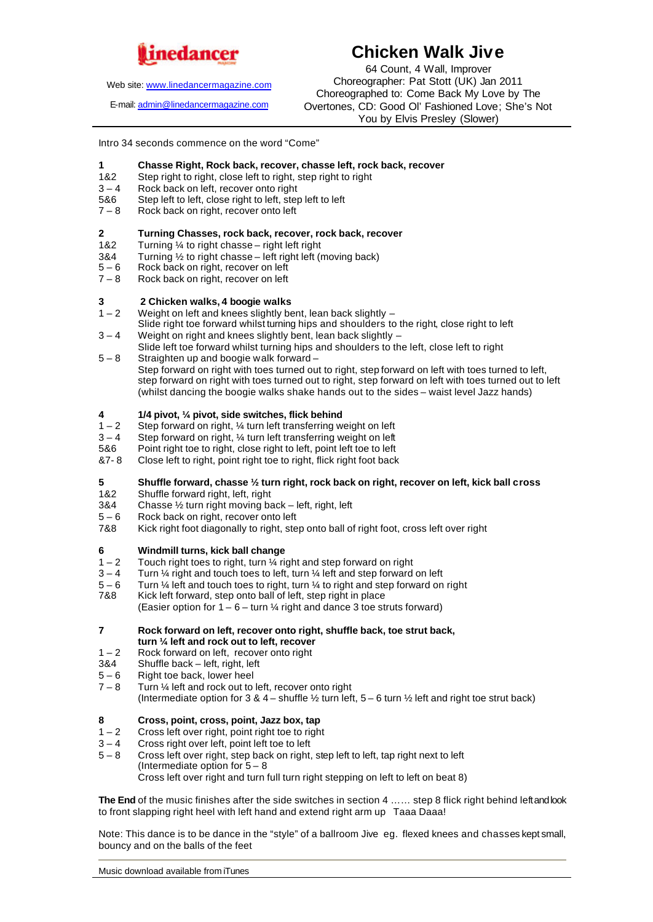

Web site: www.linedancermagazine.com

E-mail: admin@linedancermagazine.com

# **Chicken Walk Jive**

64 Count, 4 Wall, Improver Choreographer: Pat Stott (UK) Jan 2011 Choreographed to: Come Back My Love by The Overtones, CD: Good Ol' Fashioned Love; She's Not You by Elvis Presley (Slower)

Intro 34 seconds commence on the word "Come"

# **1 Chasse Right, Rock back, recover, chasse left, rock back, recover**

- 1&2 Step right to right, close left to right, step right to right  $3-4$  Rock back on left, recover onto right
- $3 4$  Rock back on left, recover onto right<br>5&6 Step left to left, close right to left, step
- 5&6 Step left to left, close right to left, step left to left  $7-8$  Rock back on right, recover onto left
- Rock back on right, recover onto left

# **2 Turning Chasses, rock back, recover, rock back, recover**<br>1&2 **Turning 1/4 to right chasse – right left right**

- 1&2 Turning ¼ to right chasse right left right<br>3&4 Turning ½ to right chasse left right left (r
- 3&4 Turning 1/2 to right chasse left right left (moving back)<br> $5-6$  Rock back on right, recover on left
- 5 6 Rock back on right, recover on left<br>7 8 Rock back on right, recover on left
- Rock back on right, recover on left

#### **3 2 Chicken walks, 4 boogie walks**

- $1 2$  Weight on left and knees slightly bent, lean back slightly  $-$
- Slide right toe forward whilst turning hips and shoulders to the right, close right to left
- $3 4$  Weight on right and knees slightly bent, lean back slightly  $-$
- Slide left toe forward whilst turning hips and shoulders to the left, close left to right 5 – 8 Straighten up and boogie walk forward –
- Step forward on right with toes turned out to right, step forward on left with toes turned to left, step forward on right with toes turned out to right, step forward on left with toes turned out to left (whilst dancing the boogie walks shake hands out to the sides – waist level Jazz hands)

### **4 1/4 pivot,**  $\frac{1}{4}$  **pivot, side switches, flick behind**  $1-2$  Step forward on right.  $\frac{1}{4}$  turn left transferring w

- $1 2$  Step forward on right, 1/4 turn left transferring weight on left  $3 4$  Step forward on right. 1/4 turn left transferring weight on left
- $3 4$  Step forward on right,  $\frac{1}{4}$  turn left transferring weight on left 5&6 Point right toe to right. close right to left toe to left
- 5&6 Point right toe to right, close right to left, point left toe to left<br>87-8 Close left to right, point right toe to right, flick right foot back
- Close left to right, point right toe to right, flick right foot back

### **5 Shuffle forward, chasse ½ turn right, rock back on right, recover on left, kick ball cross**

- 1&2 Shuffle forward right, left, right
- 3&4 Chasse  $\frac{1}{2}$  turn right moving back left, right, left  $5-6$  Rock back on right, recover onto left
- Rock back on right, recover onto left
- 7&8 Kick right foot diagonally to right, step onto ball of right foot, cross left over right

### **6 Windmill turns, kick ball change**

- $1 2$  Touch right toes to right, turn  $\frac{1}{4}$  right and step forward on right
- $3 4$  Turn  $\frac{1}{4}$  right and touch toes to left, turn  $\frac{1}{4}$  left and step forward on left
- $5 6$  Turn ¼ left and touch toes to right, turn ¼ to right and step forward on right 7&8 Kick left forward, step onto ball of left, step right in place
- Kick left forward, step onto ball of left, step right in place (Easier option for  $1 - 6 -$  turn  $\frac{1}{4}$  right and dance 3 toe struts forward)
- **7 Rock forward on left, recover onto right, shuffle back, toe strut back, turn ¼ left and rock out to left, recover**
- $1 2$  Rock forward on left, recover onto right  $384$  Shuffle back left, right, left
- $3&4$  Shuffle back left, right, left<br> $5-6$  Right toe back, lower heel
- $5-6$  Right toe back, lower heel<br> $7-8$  Turn  $\frac{1}{4}$  left and rock out to
- Turn 1/4 left and rock out to left, recover onto right (Intermediate option for 3 & 4 – shuffle  $\frac{1}{2}$  turn left, 5 – 6 turn  $\frac{1}{2}$  left and right toe strut back)

### **8 Cross, point, cross, point, Jazz box, tap**

- $1 2$  Cross left over right, point right toe to right
- 3 4 Cross right over left, point left toe to left
- 5 8 Cross left over right, step back on right, step left to left, tap right next to left (Intermediate option for  $5 - 8$ ) Cross left over right and turn full turn right stepping on left to left on beat 8)

**The End** of the music finishes after the side switches in section 4 …… step 8 flick right behind left and look to front slapping right heel with left hand and extend right arm up Taaa Daaa!

Note: This dance is to be dance in the "style" of a ballroom Jive eg. flexed knees and chasses kept small, bouncy and on the balls of the feet